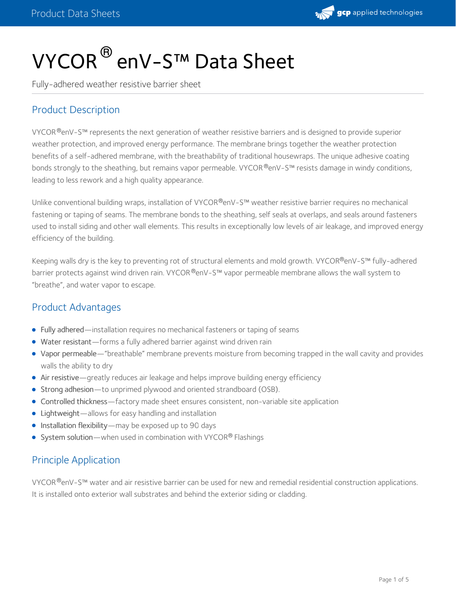

# VYCOR $^\circledR$  enV-S™ Data Sheet

Fully-adhered weather resistive barrier sheet

# Product Description

<code>VYCOR®</code>enV-S™ represents the next generation of weather resistive barriers and is designed to provide superior weather protection, and improved energy performance. The membrane brings together the weather protection benefits of a self-adhered membrane, with the breathability of traditional housewraps. The unique adhesive coating bonds strongly to the sheathing, but remains vapor permeable. VYCOR®enV-S™ resists damage in windy conditions, leading to less rework and a high quality appearance.

Unlike conventional building wraps, installation of VYCOR®enV-S™ weather resistive barrier requires no mechanical fastening or taping of seams. The membrane bonds to the sheathing, self seals at overlaps, and seals around fasteners used to install siding and other wall elements. This results in exceptionally low levels of air leakage, and improved energy efficiency of the building.

Keeping walls dry is the key to preventing rot of structural elements and mold growth. VYCOR®enV-S™ fully-adhered barrier protects against wind driven rain. VYCOR®enV-S™ vapor permeable membrane allows the wall system to "breathe", and water vapor to escape.

#### Product Advantages

- Fully adhered—installation requires no mechanical fasteners or taping of seams
- Water resistant—forms a fully adhered barrier against wind driven rain
- Vapor permeable—"breathable" membrane prevents moisture from becoming trapped in the wall cavity and provides walls the ability to dry
- Air resistive—greatly reduces air leakage and helps improve building energy efficiency
- Strong adhesion—to unprimed plywood and oriented strandboard (OSB).
- Controlled thickness—factory made sheet ensures consistent, non-variable site application
- Lightweight—allows for easy handling and installation
- **•** Installation flexibility—may be exposed up to 90 days
- System solution—when used in combination with VYCOR® Flashings

#### Principle Application

<code>VYCOR®</code>enV-S™ water and air resistive barrier can be used for new and remedial residential construction applications. It is installed onto exterior wall substrates and behind the exterior siding or cladding.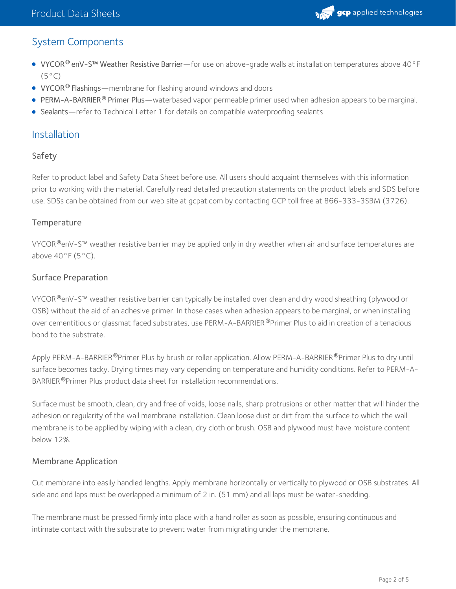

# System Components

- **VYCOR® enV-S™ Weather Resistive Barrier—**for use on above-grade walls at installation temperatures above 40°F  $(5^{\circ}C)$
- **VYCOR<sup>®</sup> Flashings**—membrane for flashing around windows and doors
- **PERM-A-BARRIER<sup>®</sup> Primer Plus—waterbased vapor permeable primer used when adhesion appears to be marginal.**
- Sealants—refer to Technical Letter 1 for details on compatible waterproofing sealants

#### Installation

#### Safety

Refer to product label and Safety Data Sheet before use. All users should acquaint themselves with this information prior to working with the material. Carefully read detailed precaution statements on the product labels and SDS before use. SDSs can be obtained from our web site at gcpat.com by contacting GCP toll free at 866-333-3SBM (3726).

#### **Temperature**

<code>VYCOR®</code>enV-S™ weather resistive barrier may be applied only in dry weather when air and surface temperatures are above  $40^{\circ}$ F ( $5^{\circ}$ C).

#### Surface Preparation

VYCOR®enV-S™ weather resistive barrier can typically be installed over clean and dry wood sheathing (plywood or OSB) without the aid of an adhesive primer. In those cases when adhesion appears to be marginal, or when installing over cementitious or glassmat faced substrates, use PERM-A-BARRIER®Primer Plus to aid in creation of a tenacious bond to the substrate.

Apply PERM-A-BARRIER®Primer Plus by brush or roller application. Allow PERM-A-BARRIER®Primer Plus to dry until surface becomes tacky. Drying times may vary depending on temperature and humidity conditions. Refer to PERM-A- BARRIER ®Primer Plus product data sheet for installation recommendations.

Surface must be smooth, clean, dry and free of voids, loose nails, sharp protrusions or other matter that will hinder the adhesion or regularity of the wall membrane installation. Clean loose dust or dirt from the surface to which the wall membrane is to be applied by wiping with a clean, dry cloth or brush. OSB and plywood must have moisture content below 12%.

#### Membrane Application

Cut membrane into easily handled lengths. Apply membrane horizontally or vertically to plywood or OSB substrates. All side and end laps must be overlapped a minimum of 2 in. (51 mm) and all laps must be water-shedding.

The membrane must be pressed firmly into place with a hand roller as soon as possible, ensuring continuous and intimate contact with the substrate to prevent water from migrating under the membrane.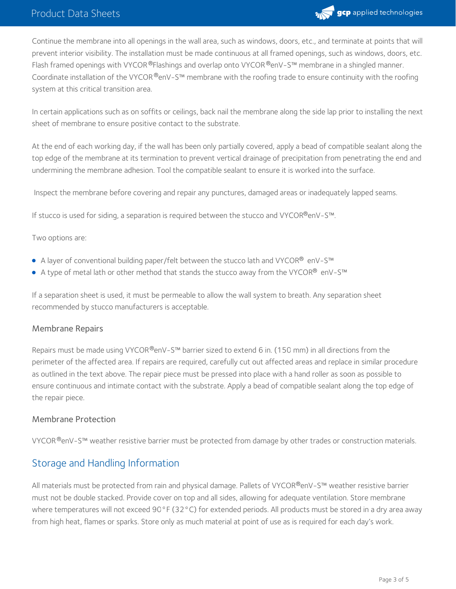### Product Data Sheets



Continue the membrane into all openings in the wall area, such as windows, doors, etc., and terminate at points that will prevent interior visibility. The installation must be made continuous at all framed openings, such as windows, doors, etc. Flash framed openings with VYCOR  $^{\circledR}$ Flashings and overlap onto VYCOR  $^{\circledR}$ enV-S™ membrane in a shingled manner. Coordinate installation of the VYCOR®enV-S™ membrane with the roofing trade to ensure continuity with the roofing system at this critical transition area.

In certain applications such as on soffits or ceilings, back nail the membrane along the side lap prior to installing the next sheet of membrane to ensure positive contact to the substrate.

At the end of each working day, if the wall has been only partially covered, apply a bead of compatible sealant along the top edge of the membrane at its termination to prevent vertical drainage of precipitation from penetrating the end and undermining the membrane adhesion. Tool the compatible sealant to ensure it is worked into the surface.

Inspect the membrane before covering and repair any punctures, damaged areas or inadequately lapped seams.

If stucco is used for siding, a separation is required between the stucco and VYCOR®enV-S™.

Two options are:

- A layer of conventional building paper/felt between the stucco lath and VYCOR $^\circledast$  enV-S™
- A type of metal lath or other method that stands the stucco away from the VYCOR® <code>enV-S™</code>

If a separation sheet is used, it must be permeable to allow the wall system to breath. Any separation sheet recommended by stucco manufacturers is acceptable.

#### Membrane Repairs

Repairs must be made using VYCOR®enV-S™ barrier sized to extend 6 in. (150 mm) in all directions from the perimeter of the affected area. If repairs are required, carefully cut out affected areas and replace in similar procedure as outlined in the text above. The repair piece must be pressed into place with a hand roller as soon as possible to ensure continuous and intimate contact with the substrate. Apply a bead of compatible sealant along the top edge of the repair piece.

#### Membrane Protection

<code>VYCOR®</code>enV-S™ weather resistive barrier must be protected from damage by other trades or construction materials.

### Storage and Handling Information

All materials must be protected from rain and physical damage. Pallets of VYCOR®enV-S™ weather resistive barrier must not be double stacked. Provide cover on top and all sides, allowing for adequate ventilation. Store membrane where temperatures will not exceed 90°F (32°C) for extended periods. All products must be stored in a dry area away from high heat, flames or sparks. Store only as much material at point of use as is required for each day's work.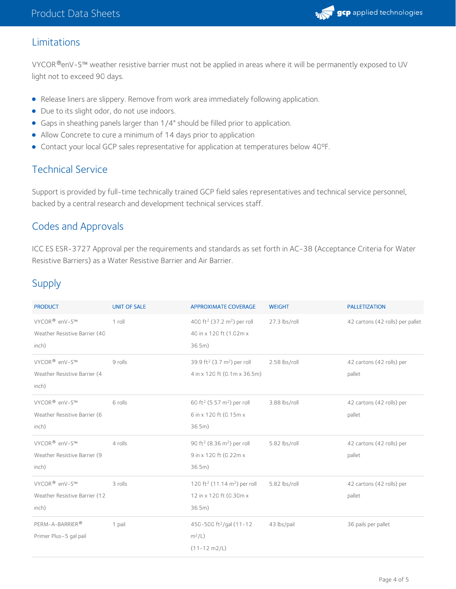

### Limitations

<code>VYCOR®</code>enV-S™ weather resistive barrier must not be applied in areas where it will be permanently exposed to UV  $\,$ light not to exceed 90 days.

- Release liners are slippery. Remove from work area immediately following application.
- Due to its slight odor, do not use indoors.
- Gaps in sheathing panels larger than 1/4" should be filled prior to application.
- Allow Concrete to cure a minimum of 14 days prior to application
- Contact your local GCP sales representative for application at temperatures below 40ºF.

# Technical Service

Support is provided by full-time technically trained GCP field sales representatives and technical service personnel, backed by a central research and development technical services staff.

### Codes and Approvals

ICC ES ESR-3727 Approval per the requirements and standards as set forth in AC-38 (Acceptance Criteria for Water Resistive Barriers) as a Water Resistive Barrier and Air Barrier.

# Supply

| <b>PRODUCT</b>                                             | <b>UNIT OF SALE</b> | <b>APPROXIMATE COVERAGE</b>                                                    | <b>WEIGHT</b> | <b>PALLETIZATION</b>             |
|------------------------------------------------------------|---------------------|--------------------------------------------------------------------------------|---------------|----------------------------------|
| VYCOR <sup>®</sup> enV-S™<br>Weather Resistive Barrier (40 | $1$ roll            | 400 ft <sup>2</sup> (37.2 m <sup>2</sup> ) per roll<br>40 in x 120 ft (1.02m x | 27.3 lbs/roll | 42 cartons (42 rolls) per pallet |
| inch)                                                      |                     | 36.5m)                                                                         |               |                                  |
| VYCOR <sup>®</sup> enV-S™                                  | 9 rolls             | 39.9 ft <sup>2</sup> (3.7 m <sup>2</sup> ) per roll                            | 2.58 lbs/roll | 42 cartons (42 rolls) per        |
| Weather Resistive Barrier (4<br>inch)                      |                     | 4 in x 120 ft (0.1m x 36.5m)                                                   |               | pallet                           |
| VYCOR <sup>®</sup> enV-S™                                  | 6 rolls             | 60 ft <sup>2</sup> (5.57 m <sup>2</sup> ) per roll                             | 3.88 lbs/roll | 42 cartons (42 rolls) per        |
| Weather Resistive Barrier (6                               |                     | 6 in x 120 ft (0.15m x                                                         |               | pallet                           |
| inch)                                                      |                     | 36.5m)                                                                         |               |                                  |
| VYCOR <sup>®</sup> enV-S™                                  | 4 rolls             | 90 ft <sup>2</sup> (8.36 m <sup>2</sup> ) per roll                             | 5.82 lbs/roll | 42 cartons (42 rolls) per        |
| Weather Resistive Barrier (9                               |                     | 9 in x 120 ft (0.22m x                                                         |               | pallet                           |
| inch)                                                      |                     | 36.5m)                                                                         |               |                                  |
| VYCOR <sup>®</sup> enV-S™                                  | 3 rolls             | 120 ft <sup>2</sup> (11.14 m <sup>2</sup> ) per roll                           | 5.82 lbs/roll | 42 cartons (42 rolls) per        |
| Weather Resistive Barrier (12                              |                     | 12 in x 120 ft (0.30m x                                                        |               | pallet                           |
| inch)                                                      |                     | 36.5m)                                                                         |               |                                  |
| PERM-A-BARRIER®                                            | 1 pail              | 450-500 ft <sup>2</sup> /gal (11-12                                            | 43 lbs/pail   | 36 pails per pallet              |
| Primer Plus-5 gal pail                                     |                     | $m^2/L$ )                                                                      |               |                                  |
|                                                            |                     | $(11 - 12 m2/L)$                                                               |               |                                  |